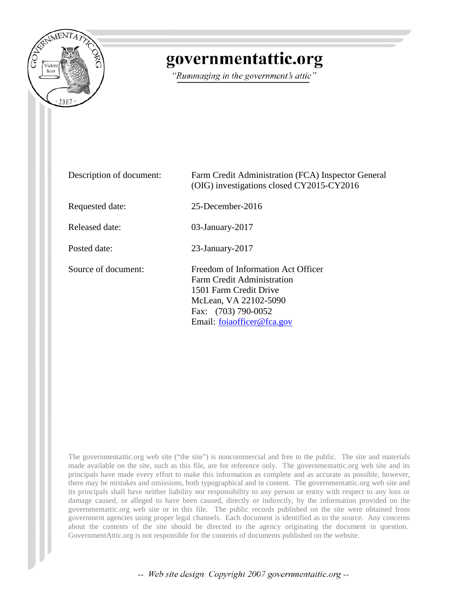

## governmentattic.org

"Rummaging in the government's attic"

| Description of document: | Farm Credit Administration (FCA) Inspector General<br>(OIG) investigations closed CY2015-CY2016                                                                          |
|--------------------------|--------------------------------------------------------------------------------------------------------------------------------------------------------------------------|
| Requested date:          | $25$ -December-2016                                                                                                                                                      |
| Released date:           | $03$ -January-2017                                                                                                                                                       |
| Posted date:             | $23$ -January- $2017$                                                                                                                                                    |
| Source of document:      | Freedom of Information Act Officer<br>Farm Credit Administration<br>1501 Farm Credit Drive<br>McLean, VA 22102-5090<br>Fax: (703) 790-0052<br>Email: foiaofficer@fca.gov |

The governmentattic.org web site ("the site") is noncommercial and free to the public. The site and materials made available on the site, such as this file, are for reference only. The governmentattic.org web site and its principals have made every effort to make this information as complete and as accurate as possible, however, there may be mistakes and omissions, both typographical and in content. The governmentattic.org web site and its principals shall have neither liability nor responsibility to any person or entity with respect to any loss or damage caused, or alleged to have been caused, directly or indirectly, by the information provided on the governmentattic.org web site or in this file. The public records published on the site were obtained from government agencies using proper legal channels. Each document is identified as to the source. Any concerns about the contents of the site should be directed to the agency originating the document in question. GovernmentAttic.org is not responsible for the contents of documents published on the website.

-- Web site design Copyright 2007 governmentattic.org --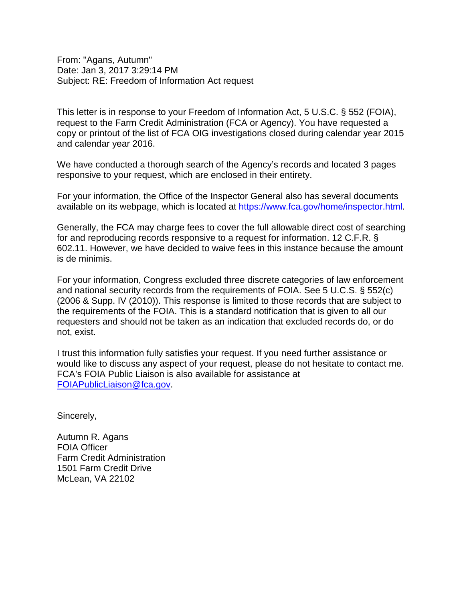From: "Agans, Autumn" Date: Jan 3, 2017 3:29:14 PM Subject: RE: Freedom of Information Act request

This letter is in response to your Freedom of Information Act, 5 U.S.C. § 552 (FOIA), request to the Farm Credit Administration (FCA or Agency). You have requested a copy or printout of the list of FCA OIG investigations closed during calendar year 2015 and calendar year 2016.

We have conducted a thorough search of the Agency's records and located 3 pages responsive to your request, which are enclosed in their entirety.

For your information, the Office of the Inspector General also has several documents available on its webpage, which is located at [https://www.fca.gov/home/inspector.html.](https://www.fca.gov/home/inspector.html)

Generally, the FCA may charge fees to cover the full allowable direct cost of searching for and reproducing records responsive to a request for information. 12 C.F.R. § 602.11. However, we have decided to waive fees in this instance because the amount is de minimis.

For your information, Congress excluded three discrete categories of law enforcement and national security records from the requirements of FOIA. See 5 U.C.S. § 552(c) (2006 & Supp. IV (2010)). This response is limited to those records that are subject to the requirements of the FOIA. This is a standard notification that is given to all our requesters and should not be taken as an indication that excluded records do, or do not, exist.

I trust this information fully satisfies your request. If you need further assistance or would like to discuss any aspect of your request, please do not hesitate to contact me. FCA's FOIA Public Liaison is also available for assistance at [FOIAPublicLiaison@fca.gov.](mailto:FOIAPublicLiaison@fca.gov)

Sincerely,

Autumn R. Agans FOIA Officer Farm Credit Administration 1501 Farm Credit Drive McLean, VA 22102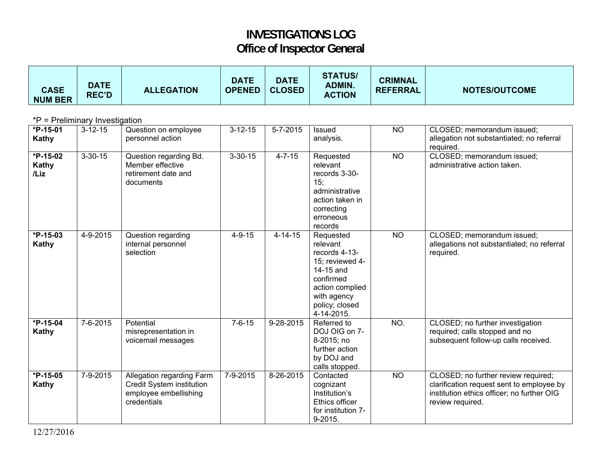## **INVESTIGATIONS LOG Office of Inspector General**

| <b>CASE</b><br><b>NUM BER</b>  | <b>DATE</b><br><b>REC'D</b> | <b>ALLEGATION</b>                                                                              | <b>DATE</b><br><b>OPENED</b> | <b>DATE</b><br><b>CLOSED</b> | <b>STATUS/</b><br><b>ADMIN.</b><br><b>ACTION</b>                                                                                                      | <b>CRIMNAL</b><br><b>REFERRAL</b> | <b>NOTES/OUTCOME</b>                                                                                                                               |  |  |
|--------------------------------|-----------------------------|------------------------------------------------------------------------------------------------|------------------------------|------------------------------|-------------------------------------------------------------------------------------------------------------------------------------------------------|-----------------------------------|----------------------------------------------------------------------------------------------------------------------------------------------------|--|--|
| *P = Preliminary Investigation |                             |                                                                                                |                              |                              |                                                                                                                                                       |                                   |                                                                                                                                                    |  |  |
| $*P-15-01$<br>Kathy            | $3 - 12 - 15$               | Question on employee<br>personnel action                                                       | $3 - 12 - 15$                | $5 - 7 - 2015$               | <b>Issued</b><br>analysis.                                                                                                                            | $\overline{NO}$                   | CLOSED; memorandum issued;<br>allegation not substantiated; no referral<br>required.                                                               |  |  |
| $*P-15-02$<br>Kathy<br>/Liz    | $3 - 30 - 15$               | Question regarding Bd.<br>Member effective<br>retirement date and<br>documents                 | $3 - 30 - 15$                | $4 - 7 - 15$                 | Requested<br>relevant<br>records 3-30-<br>15:<br>administrative<br>action taken in<br>correcting<br>erroneous<br>records                              | $\overline{NO}$                   | CLOSED; memorandum issued;<br>administrative action taken.                                                                                         |  |  |
| $*P-15-03$<br>Kathy            | $4 - 9 - 2015$              | Question regarding<br>internal personnel<br>selection                                          | $4 - 9 - 15$                 | $4 - 14 - 15$                | Requested<br>relevant<br>records 4-13-<br>15; reviewed 4-<br>14-15 and<br>confirmed<br>action complied<br>with agency<br>policy; closed<br>4-14-2015. | $\overline{NO}$                   | CLOSED; memorandum issued;<br>allegations not substantiated; no referral<br>required.                                                              |  |  |
| $*P-15-04$<br>Kathy            | $7 - 6 - 2015$              | Potential<br>misrepresentation in<br>voicemail messages                                        | $7 - 6 - 15$                 | $9 - 28 - 2015$              | Referred to<br>DOJ OIG on 7-<br>8-2015; no<br>further action<br>by DOJ and<br>calls stopped.                                                          | NO.                               | CLOSED; no further investigation<br>required; calls stopped and no<br>subsequent follow-up calls received.                                         |  |  |
| *P-15-05<br>Kathy              | 7-9-2015                    | Allegation regarding Farm<br>Credit System institution<br>employee embellishing<br>credentials | 7-9-2015                     | 8-26-2015                    | Contacted<br>cognizant<br>Institution's<br>Ethics officer<br>for institution 7-<br>9-2015.                                                            | <b>NO</b>                         | CLOSED; no further review required;<br>clarification request sent to employee by<br>institution ethics officer; no further OIG<br>review required. |  |  |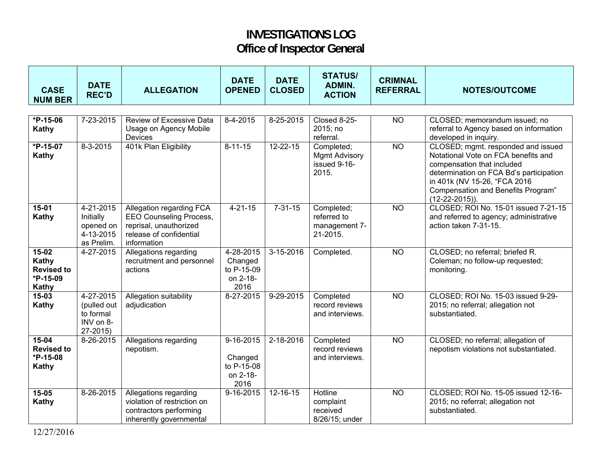## **INVESTIGATIONS LOG Office of Inspector General**

| <b>CASE</b><br><b>NUM BER</b>                            | <b>DATE</b><br><b>REC'D</b>                                     | <b>ALLEGATION</b>                                                                                                              | <b>DATE</b><br><b>OPENED</b>                                 | <b>DATE</b><br><b>CLOSED</b> | <b>STATUS/</b><br>ADMIN.<br><b>ACTION</b>                   | <b>CRIMNAL</b><br><b>REFERRAL</b> | <b>NOTES/OUTCOME</b>                                                                                                                                                                                                                          |
|----------------------------------------------------------|-----------------------------------------------------------------|--------------------------------------------------------------------------------------------------------------------------------|--------------------------------------------------------------|------------------------------|-------------------------------------------------------------|-----------------------------------|-----------------------------------------------------------------------------------------------------------------------------------------------------------------------------------------------------------------------------------------------|
|                                                          |                                                                 |                                                                                                                                |                                                              |                              |                                                             |                                   |                                                                                                                                                                                                                                               |
| $*P-15-06$<br>Kathy                                      | 7-23-2015                                                       | Review of Excessive Data<br>Usage on Agency Mobile<br>Devices                                                                  | 8-4-2015                                                     | 8-25-2015                    | Closed 8-25-<br>2015; no<br>referral.                       | $\overline{NO}$                   | CLOSED; memorandum issued; no<br>referral to Agency based on information<br>developed in inquiry.                                                                                                                                             |
| $*P-15-07$<br>Kathy                                      | $8-3-2015$                                                      | 401k Plan Eligibility                                                                                                          | $8-11-15$                                                    | $12 - 22 - 15$               | Completed;<br><b>Mgmt Advisory</b><br>issued 9-16-<br>2015. | $\overline{NO}$                   | CLOSED; mgmt. responded and issued<br>Notational Vote on FCA benefits and<br>compensation that included<br>determination on FCA Bd's participation<br>in 401k (NV 15-26, "FCA 2016<br>Compensation and Benefits Program"<br>$(12-22-2015)$ ). |
| $15-01$<br>Kathy                                         | 4-21-2015<br>Initially<br>opened on<br>4-13-2015<br>as Prelim.  | <b>Allegation regarding FCA</b><br>EEO Counseling Process,<br>reprisal, unauthorized<br>release of confidential<br>information | $4 - 21 - 15$                                                | $7 - 31 - 15$                | Completed;<br>referred to<br>management 7-<br>21-2015.      | $\overline{NO}$                   | CLOSED; ROI No. 15-01 issued 7-21-15<br>and referred to agency; administrative<br>action taken 7-31-15.                                                                                                                                       |
| 15-02<br>Kathy<br><b>Revised to</b><br>*P-15-09<br>Kathy | 4-27-2015                                                       | Allegations regarding<br>recruitment and personnel<br>actions                                                                  | 4-28-2015<br>Changed<br>to P-15-09<br>on 2-18-<br>2016       | $3-15-2016$                  | Completed.                                                  | <b>NO</b>                         | CLOSED; no referral; briefed R.<br>Coleman; no follow-up requested;<br>monitoring.                                                                                                                                                            |
| $15 - 03$<br>Kathy                                       | 4-27-2015<br>(pulled out<br>to formal<br>INV on 8-<br>$27-2015$ | Allegation suitability<br>adjudication                                                                                         | 8-27-2015                                                    | 9-29-2015                    | Completed<br>record reviews<br>and interviews.              | <b>NO</b>                         | CLOSED; ROI No. 15-03 issued 9-29-<br>2015; no referral; allegation not<br>substantiated.                                                                                                                                                     |
| $15-04$<br><b>Revised to</b><br>*P-15-08<br>Kathy        | 8-26-2015                                                       | Allegations regarding<br>nepotism.                                                                                             | $9 - 16 - 2015$<br>Changed<br>to P-15-08<br>on 2-18-<br>2016 | $2 - 18 - 2016$              | Completed<br>record reviews<br>and interviews.              | $\overline{NO}$                   | CLOSED; no referral; allegation of<br>nepotism violations not substantiated.                                                                                                                                                                  |
| $15 - 05$<br><b>Kathy</b>                                | 8-26-2015                                                       | Allegations regarding<br>violation of restriction on<br>contractors performing<br>inherently governmental                      | 9-16-2015                                                    | 12-16-15                     | Hotline<br>complaint<br>received<br>8/26/15; under          | <b>NO</b>                         | CLOSED; ROI No. 15-05 issued 12-16-<br>2015; no referral; allegation not<br>substantiated.                                                                                                                                                    |